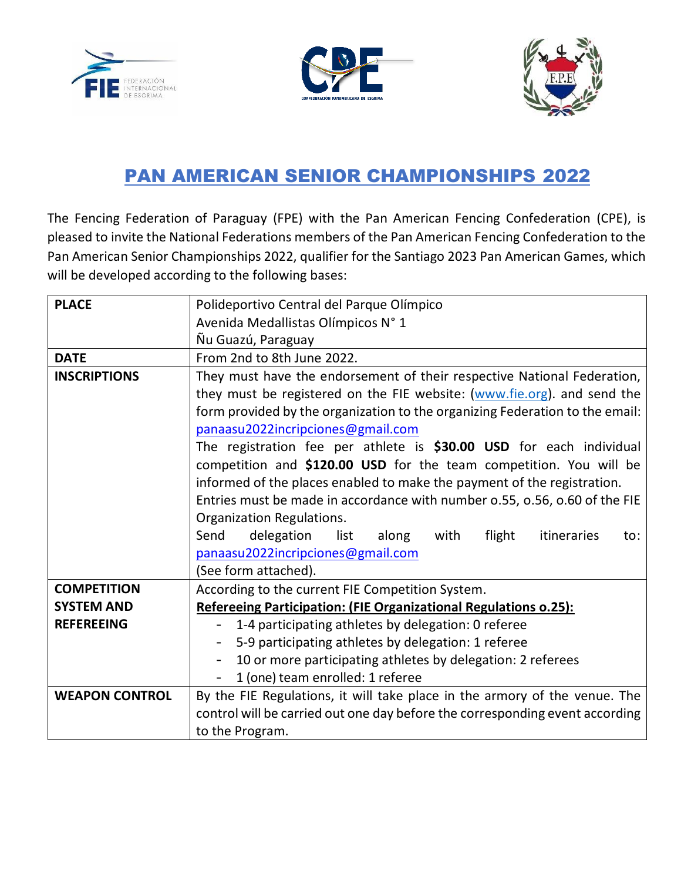





# PAN AMERICAN SENIOR CHAMPIONSHIPS 2022

The Fencing Federation of Paraguay (FPE) with the Pan American Fencing Confederation (CPE), is pleased to invite the National Federations members of the Pan American Fencing Confederation to the Pan American Senior Championships 2022, qualifier for the Santiago 2023 Pan American Games, which will be developed according to the following bases:

| <b>PLACE</b>          | Polideportivo Central del Parque Olímpico                                    |  |  |
|-----------------------|------------------------------------------------------------------------------|--|--|
|                       | Avenida Medallistas Olímpicos N° 1                                           |  |  |
|                       | Ñu Guazú, Paraguay                                                           |  |  |
| <b>DATE</b>           | From 2nd to 8th June 2022.                                                   |  |  |
| <b>INSCRIPTIONS</b>   | They must have the endorsement of their respective National Federation,      |  |  |
|                       | they must be registered on the FIE website: (www.fie.org). and send the      |  |  |
|                       | form provided by the organization to the organizing Federation to the email: |  |  |
|                       | panaasu2022incripciones@gmail.com                                            |  |  |
|                       | The registration fee per athlete is \$30.00 USD for each individual          |  |  |
|                       | competition and \$120.00 USD for the team competition. You will be           |  |  |
|                       | informed of the places enabled to make the payment of the registration.      |  |  |
|                       | Entries must be made in accordance with number 0.55, 0.56, 0.60 of the FIE   |  |  |
|                       | Organization Regulations.                                                    |  |  |
|                       | Send<br>delegation<br>list<br>with<br>flight<br>itineraries<br>along<br>to:  |  |  |
|                       | panaasu2022incripciones@gmail.com                                            |  |  |
|                       | (See form attached).                                                         |  |  |
| <b>COMPETITION</b>    | According to the current FIE Competition System.                             |  |  |
| <b>SYSTEM AND</b>     | Refereeing Participation: (FIE Organizational Regulations o.25):             |  |  |
| <b>REFEREEING</b>     | 1-4 participating athletes by delegation: 0 referee                          |  |  |
|                       | 5-9 participating athletes by delegation: 1 referee                          |  |  |
|                       | 10 or more participating athletes by delegation: 2 referees                  |  |  |
|                       | 1 (one) team enrolled: 1 referee                                             |  |  |
| <b>WEAPON CONTROL</b> | By the FIE Regulations, it will take place in the armory of the venue. The   |  |  |
|                       | control will be carried out one day before the corresponding event according |  |  |
|                       | to the Program.                                                              |  |  |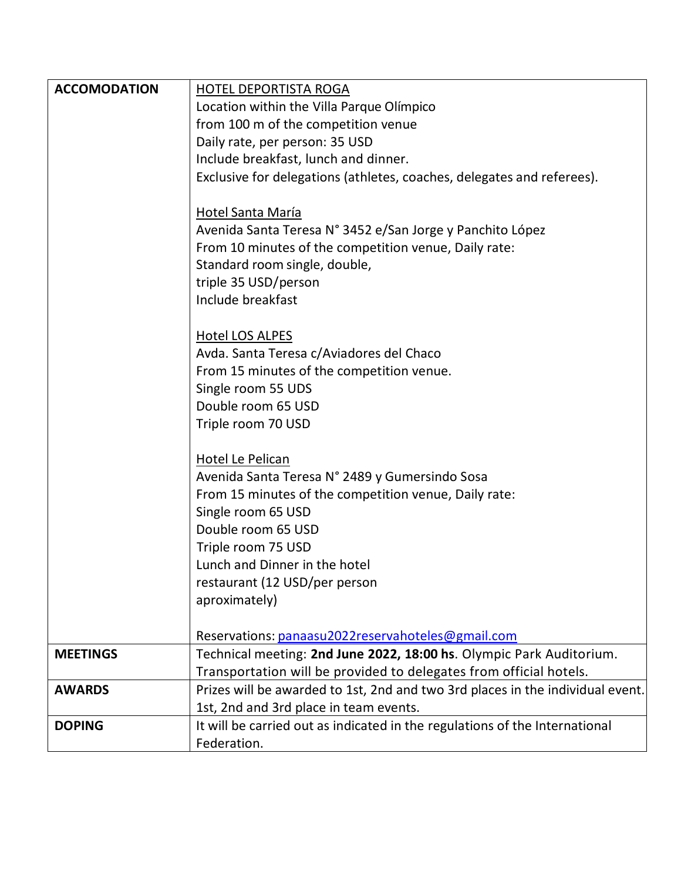| <b>ACCOMODATION</b>                                       | <b>HOTEL DEPORTISTA ROGA</b>                                                                                   |  |  |  |
|-----------------------------------------------------------|----------------------------------------------------------------------------------------------------------------|--|--|--|
|                                                           | Location within the Villa Parque Olímpico                                                                      |  |  |  |
|                                                           | from 100 m of the competition venue                                                                            |  |  |  |
|                                                           | Daily rate, per person: 35 USD                                                                                 |  |  |  |
|                                                           | Include breakfast, lunch and dinner.<br>Exclusive for delegations (athletes, coaches, delegates and referees). |  |  |  |
|                                                           |                                                                                                                |  |  |  |
|                                                           | Hotel Santa María                                                                                              |  |  |  |
| Avenida Santa Teresa N° 3452 e/San Jorge y Panchito López |                                                                                                                |  |  |  |
|                                                           | From 10 minutes of the competition venue, Daily rate:                                                          |  |  |  |
|                                                           | Standard room single, double,                                                                                  |  |  |  |
|                                                           | triple 35 USD/person                                                                                           |  |  |  |
|                                                           | Include breakfast                                                                                              |  |  |  |
|                                                           |                                                                                                                |  |  |  |
|                                                           | <b>Hotel LOS ALPES</b>                                                                                         |  |  |  |
| Avda. Santa Teresa c/Aviadores del Chaco                  |                                                                                                                |  |  |  |
|                                                           | From 15 minutes of the competition venue.                                                                      |  |  |  |
|                                                           | Single room 55 UDS                                                                                             |  |  |  |
|                                                           | Double room 65 USD                                                                                             |  |  |  |
|                                                           | Triple room 70 USD                                                                                             |  |  |  |
|                                                           |                                                                                                                |  |  |  |
|                                                           | Hotel Le Pelican                                                                                               |  |  |  |
|                                                           | Avenida Santa Teresa N° 2489 y Gumersindo Sosa                                                                 |  |  |  |
|                                                           | From 15 minutes of the competition venue, Daily rate:                                                          |  |  |  |
|                                                           | Single room 65 USD                                                                                             |  |  |  |
|                                                           | Double room 65 USD                                                                                             |  |  |  |
|                                                           | Triple room 75 USD                                                                                             |  |  |  |
|                                                           | Lunch and Dinner in the hotel                                                                                  |  |  |  |
|                                                           | restaurant (12 USD/per person                                                                                  |  |  |  |
|                                                           | aproximately)                                                                                                  |  |  |  |
|                                                           | Reservations: panaasu2022reservahoteles@gmail.com                                                              |  |  |  |
| <b>MEETINGS</b>                                           | Technical meeting: 2nd June 2022, 18:00 hs. Olympic Park Auditorium.                                           |  |  |  |
|                                                           | Transportation will be provided to delegates from official hotels.                                             |  |  |  |
| <b>AWARDS</b>                                             | Prizes will be awarded to 1st, 2nd and two 3rd places in the individual event.                                 |  |  |  |
|                                                           | 1st, 2nd and 3rd place in team events.                                                                         |  |  |  |
| <b>DOPING</b>                                             | It will be carried out as indicated in the regulations of the International                                    |  |  |  |
|                                                           | Federation.                                                                                                    |  |  |  |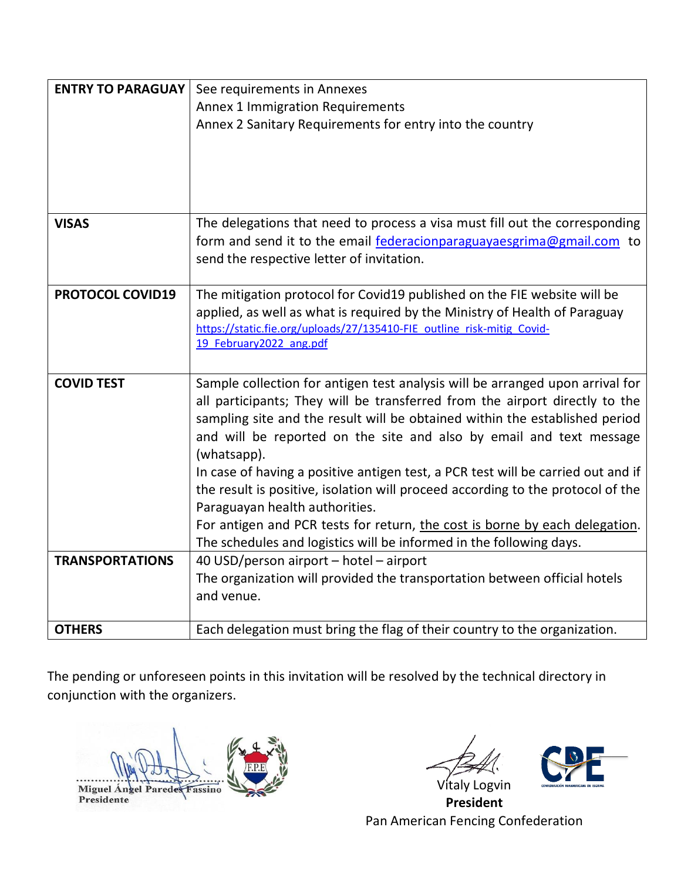| <b>ENTRY TO PARAGUAY</b> | See requirements in Annexes<br><b>Annex 1 Immigration Requirements</b><br>Annex 2 Sanitary Requirements for entry into the country                                                                                                                                                                                                                                                                                                                                                                                                                                                                                                                                                               |
|--------------------------|--------------------------------------------------------------------------------------------------------------------------------------------------------------------------------------------------------------------------------------------------------------------------------------------------------------------------------------------------------------------------------------------------------------------------------------------------------------------------------------------------------------------------------------------------------------------------------------------------------------------------------------------------------------------------------------------------|
| <b>VISAS</b>             | The delegations that need to process a visa must fill out the corresponding<br>form and send it to the email federacionparaguayaesgrima@gmail.com to                                                                                                                                                                                                                                                                                                                                                                                                                                                                                                                                             |
|                          | send the respective letter of invitation.                                                                                                                                                                                                                                                                                                                                                                                                                                                                                                                                                                                                                                                        |
| <b>PROTOCOL COVID19</b>  | The mitigation protocol for Covid19 published on the FIE website will be<br>applied, as well as what is required by the Ministry of Health of Paraguay<br>https://static.fie.org/uploads/27/135410-FIE outline risk-mitig Covid-<br>19 February2022 ang.pdf                                                                                                                                                                                                                                                                                                                                                                                                                                      |
| <b>COVID TEST</b>        | Sample collection for antigen test analysis will be arranged upon arrival for<br>all participants; They will be transferred from the airport directly to the<br>sampling site and the result will be obtained within the established period<br>and will be reported on the site and also by email and text message<br>(whatsapp).<br>In case of having a positive antigen test, a PCR test will be carried out and if<br>the result is positive, isolation will proceed according to the protocol of the<br>Paraguayan health authorities.<br>For antigen and PCR tests for return, the cost is borne by each delegation.<br>The schedules and logistics will be informed in the following days. |
| <b>TRANSPORTATIONS</b>   | 40 USD/person airport - hotel - airport<br>The organization will provided the transportation between official hotels<br>and venue.                                                                                                                                                                                                                                                                                                                                                                                                                                                                                                                                                               |
| <b>OTHERS</b>            | Each delegation must bring the flag of their country to the organization.                                                                                                                                                                                                                                                                                                                                                                                                                                                                                                                                                                                                                        |

The pending or unforeseen points in this invitation will be resolved by the technical directory in conjunction with the organizers.

Miguel Angel Paredes Fassino Presidente

Vitaly Logvin



**President** Pan American Fencing Confederation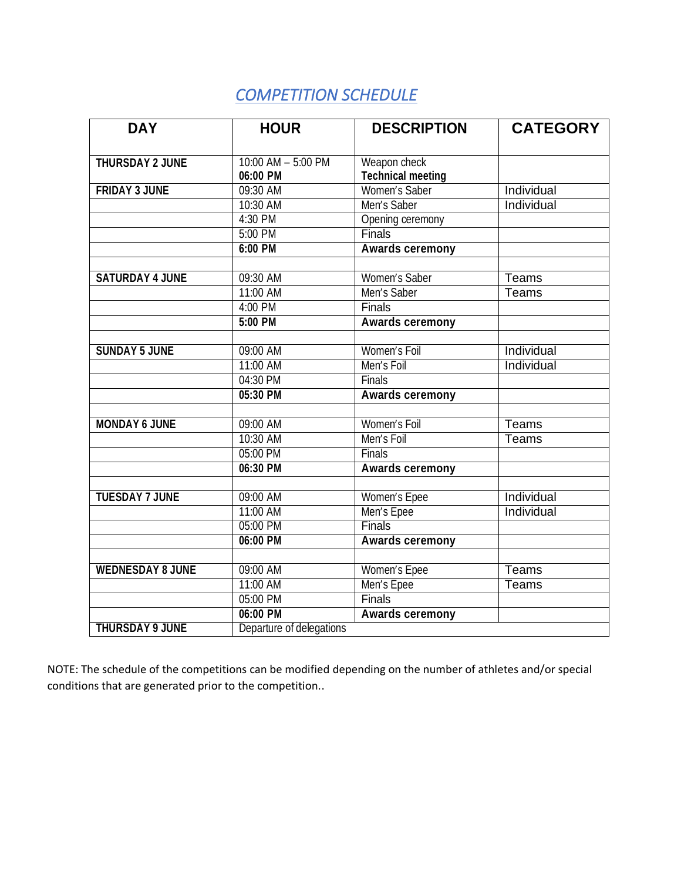# *COMPETITION SCHEDULE*

| <b>DAY</b>              | <b>HOUR</b>                    | <b>DESCRIPTION</b>                       | <b>CATEGORY</b> |
|-------------------------|--------------------------------|------------------------------------------|-----------------|
|                         |                                |                                          |                 |
| THURSDAY 2 JUNE         | 10:00 AM - 5:00 PM<br>06:00 PM | Weapon check<br><b>Technical meeting</b> |                 |
| <b>FRIDAY 3 JUNE</b>    | 09:30 AM                       | Women's Saber                            | Individual      |
|                         | 10:30 AM                       | Men's Saber                              | Individual      |
|                         | 4:30 PM                        | Opening ceremony                         |                 |
|                         | 5:00 PM                        | Finals                                   |                 |
|                         | 6:00 PM                        | <b>Awards ceremony</b>                   |                 |
|                         |                                |                                          |                 |
| <b>SATURDAY 4 JUNE</b>  | 09:30 AM                       | Women's Saber                            | Teams           |
|                         | 11:00 AM                       | Men's Saber                              | Teams           |
|                         | 4:00 PM                        | Finals                                   |                 |
|                         | $5:00$ PM                      | <b>Awards ceremony</b>                   |                 |
|                         |                                |                                          |                 |
| <b>SUNDAY 5 JUNE</b>    | 09:00 AM                       | Women's Foil                             | Individual      |
|                         | 11:00 AM                       | Men's Foil                               | Individual      |
|                         | 04:30 PM                       | <b>Finals</b>                            |                 |
|                         | 05:30 PM                       | <b>Awards ceremony</b>                   |                 |
|                         |                                |                                          |                 |
| <b>MONDAY 6 JUNE</b>    | 09:00 AM                       | Women's Foil                             | <b>Teams</b>    |
|                         | 10:30 AM                       | Men's Foil                               | <b>Teams</b>    |
|                         | 05:00 PM                       | Finals                                   |                 |
|                         | 06:30 PM                       | <b>Awards ceremony</b>                   |                 |
|                         |                                |                                          |                 |
| <b>TUESDAY 7 JUNE</b>   | 09:00 AM                       | Women's Epee                             | Individual      |
|                         | 11:00 AM                       | Men's Epee                               | Individual      |
|                         | 05:00 PM                       | <b>Finals</b>                            |                 |
|                         | 06:00 PM                       | <b>Awards ceremony</b>                   |                 |
| <b>WEDNESDAY 8 JUNE</b> | 09:00 AM                       | Women's Epee                             | Teams           |
|                         | 11:00 AM                       |                                          | Teams           |
|                         | 05:00 PM                       | Men's Epee<br>Finals                     |                 |
|                         | 06:00 PM                       |                                          |                 |
| <b>THURSDAY 9 JUNE</b>  |                                | <b>Awards ceremony</b>                   |                 |
|                         | Departure of delegations       |                                          |                 |

NOTE: The schedule of the competitions can be modified depending on the number of athletes and/or special conditions that are generated prior to the competition..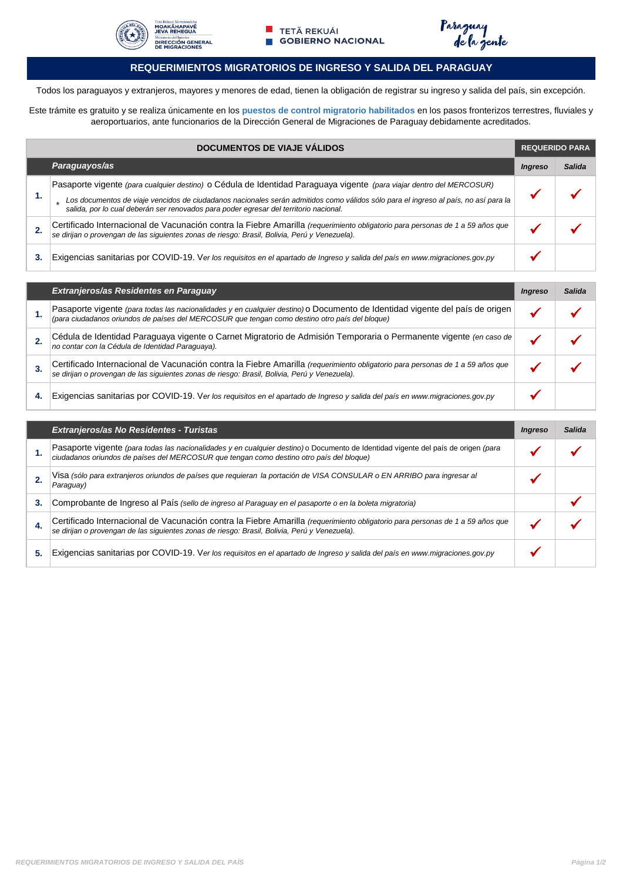





#### **REQUERIMIENTOS MIGRATORIOS DE INGRESO Y SALIDA DEL PARAGUAY**

Todos los paraguayos y extranjeros, mayores y menores de edad, tienen la obligación de registrar su ingreso y salida del país, sin excepción.

Este trámite es gratuito y se realiza únicamente en los **puestos de control migratorio habilitados** en los pasos fronterizos terrestres, fluviales y aeroportuarios, ante funcionarios de la Dirección General de Migraciones de Paraguay debidamente acreditados.

| <b>DOCUMENTOS DE VIAJE VÁLIDOS</b> |                                                                                                                                                                                                                                | <b>REQUERIDO PARA</b> |        |
|------------------------------------|--------------------------------------------------------------------------------------------------------------------------------------------------------------------------------------------------------------------------------|-----------------------|--------|
|                                    | Paraguayos/as                                                                                                                                                                                                                  | <i><b>Ingreso</b></i> | Salida |
|                                    | Pasaporte vigente (para cualquier destino) o Cédula de Identidad Paraguaya vigente (para viajar dentro del MERCOSUR)                                                                                                           |                       |        |
| 1.                                 | Los documentos de viaje vencidos de ciudadanos nacionales serán admitidos como válidos sólo para el ingreso al país, no así para la<br>salida, por lo cual deberán ser renovados para poder egresar del territorio nacional.   |                       |        |
|                                    | Certificado Internacional de Vacunación contra la Fiebre Amarilla (requerimiento obligatorio para personas de 1 a 59 años que<br>se dirijan o provengan de las siguientes zonas de riesgo: Brasil, Bolivia, Perú y Venezuela). |                       |        |
| 3.                                 | Exigencias sanitarias por COVID-19. Ver los requisitos en el apartado de Ingreso y salida del país en www.migraciones.gov.py                                                                                                   |                       |        |
|                                    |                                                                                                                                                                                                                                |                       |        |

|    | Extranjeros/as Residentes en Paraguay                                                                                                                                                                                          | <b>Ingreso</b> | Salida |
|----|--------------------------------------------------------------------------------------------------------------------------------------------------------------------------------------------------------------------------------|----------------|--------|
|    | Pasaporte vigente (para todas las nacionalidades y en cualquier destino) o Documento de Identidad vigente del país de origen<br>(para ciudadanos oriundos de países del MERCOSUR que tengan como destino otro país del bloque) |                |        |
|    | Cédula de Identidad Paraguaya vigente o Carnet Migratorio de Admisión Temporaria o Permanente vigente (en caso de<br>no contar con la Cédula de Identidad Paraguaya).                                                          |                |        |
| 3. | Certificado Internacional de Vacunación contra la Fiebre Amarilla (requerimiento obligatorio para personas de 1 a 59 años que<br>se dirijan o provengan de las siguientes zonas de riesgo: Brasil, Bolivia, Perú y Venezuela). |                |        |
| 4. | Exigencias sanitarias por COVID-19. Ver los requisitos en el apartado de Ingreso y salida del país en www.migraciones.gov.py                                                                                                   |                |        |

|    | Extranjeros/as No Residentes - Turistas                                                                                                                                                                                        |  | Salida |
|----|--------------------------------------------------------------------------------------------------------------------------------------------------------------------------------------------------------------------------------|--|--------|
| 1. | Pasaporte vigente (para todas las nacionalidades y en cualquier destino) o Documento de Identidad vigente del país de origen (para<br>ciudadanos oriundos de países del MERCOSUR que tengan como destino otro país del bloque) |  |        |
|    | Visa (sólo para extranjeros oriundos de países que requieran la portación de VISA CONSULAR o EN ARRIBO para ingresar al<br>Paraguay)                                                                                           |  |        |
| 3. | Comprobante de Ingreso al País (sello de ingreso al Paraguay en el pasaporte o en la boleta migratoria)                                                                                                                        |  |        |
| 4. | Certificado Internacional de Vacunación contra la Fiebre Amarilla (requerimiento obligatorio para personas de 1 a 59 años que<br>se dirijan o provengan de las siguientes zonas de riesgo: Brasil, Bolivia, Perú y Venezuela). |  |        |
| 5. | Exigencias sanitarias por COVID-19. Ver los requisitos en el apartado de Ingreso y salida del país en www.migraciones.gov.py                                                                                                   |  |        |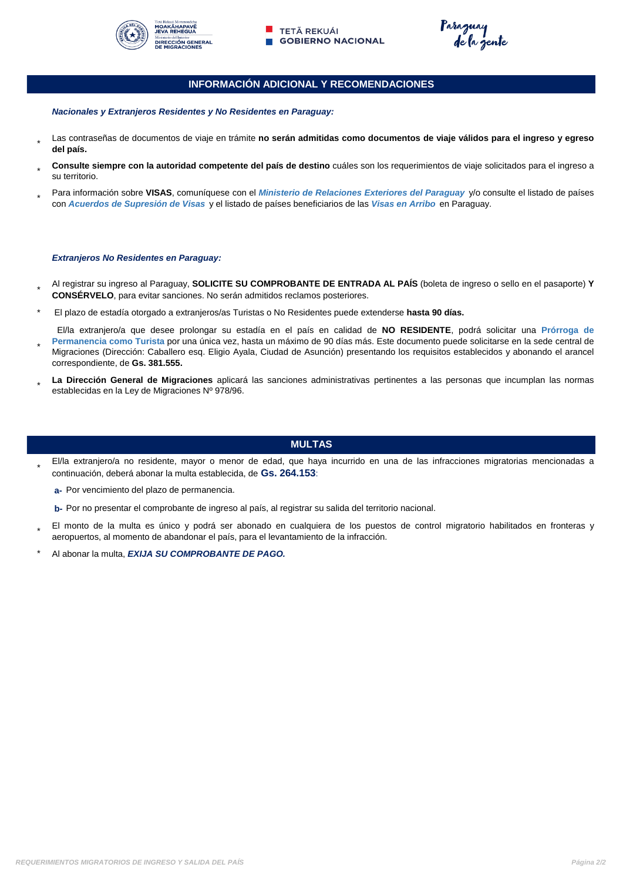



Paraguay<br>de la gente

#### **INFORMACIÓN ADICIONAL Y RECOMENDACIONES**

*Nacionales y Extranjeros Residentes y No Residentes en Paraguay:*

- \* Las contraseñas de documentos de viaje en trámite **no serán admitidas como documentos de viaje válidos para el ingreso y egreso del país.**
- \* **Consulte siempre con la autoridad competente del país de destino** cuáles son los requerimientos de viaje solicitados para el ingreso a su territorio.
- \* Para información sobre **VISAS**, comuníquese con el *Ministerio de Relaciones Exteriores del Paraguay* y/o consulte el listado de países con *Acuerdos de Supresión de Visas* y el listado de países beneficiarios de las *Visas en Arribo* en Paraguay.

#### *Extranjeros No Residentes en Paraguay:*

- \* Al registrar su ingreso al Paraguay, **SOLICITE SU COMPROBANTE DE ENTRADA AL PAÍS** (boleta de ingreso o sello en el pasaporte) **Y CONSÉRVELO**, para evitar sanciones. No serán admitidos reclamos posteriores.
- \* El plazo de estadía otorgado a extranjeros/as Turistas o No Residentes puede extenderse **hasta 90 días.**
- \* El/la extranjero/a que desee prolongar su estadía en el país en calidad de **NO RESIDENTE**, podrá solicitar una **Prórroga de Permanencia como Turista** por una única vez, hasta un máximo de 90 días más. Este documento puede solicitarse en la sede central de Migraciones (Dirección: Caballero esq. Eligio Ayala, Ciudad de Asunción) presentando los requisitos establecidos y abonando el arancel
- correspondiente, de **Gs. 381.555.**
- \* **La Dirección General de Migraciones** aplicará las sanciones administrativas pertinentes a las personas que incumplan las normas establecidas en la Ley de Migraciones Nº 978/96.

#### **MULTAS**

- \* El/la extranjero/a no residente, mayor o menor de edad, que haya incurrido en una de las infracciones migratorias mencionadas a continuación, deberá abonar la multa establecida, de **Gs. 264.153**:
	- **a-**  Por vencimiento del plazo de permanencia.
	- **b-**  Por no presentar el comprobante de ingreso al país, al registrar su salida del territorio nacional.
- \* El monto de la multa es único y podrá ser abonado en cualquiera de los puestos de control migratorio habilitados en fronteras y aeropuertos, al momento de abandonar el país, para el levantamiento de la infracción.
- Al abonar la multa, *EXIJA SU COMPROBANTE DE PAGO.*  \*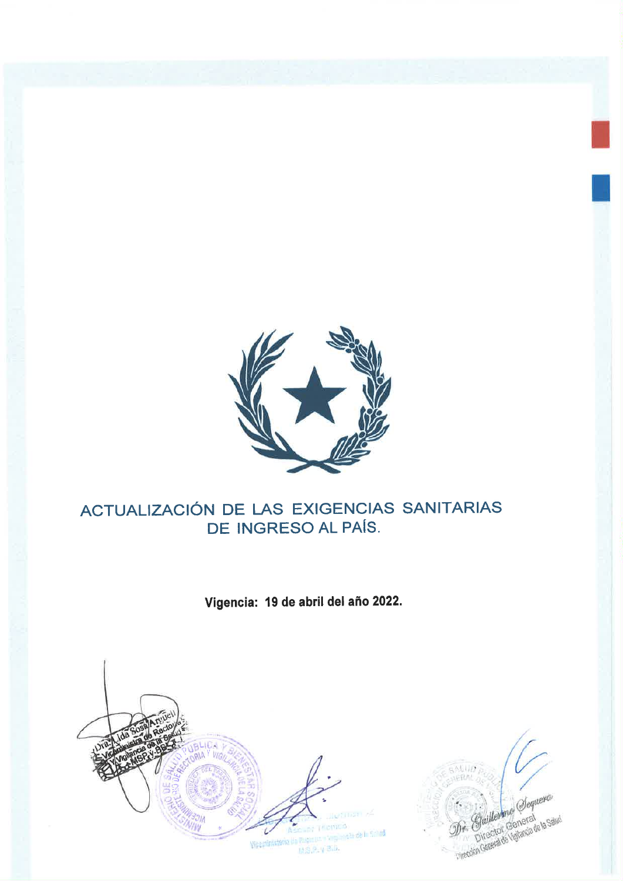

# ACTUALIZACIÓN DE LAS EXIGENCIAS SANITARIAS DE INGRESO AL PAÍS.

Vigencia: 19 de abril del año 2022.



Dr. Gaullemme Sequera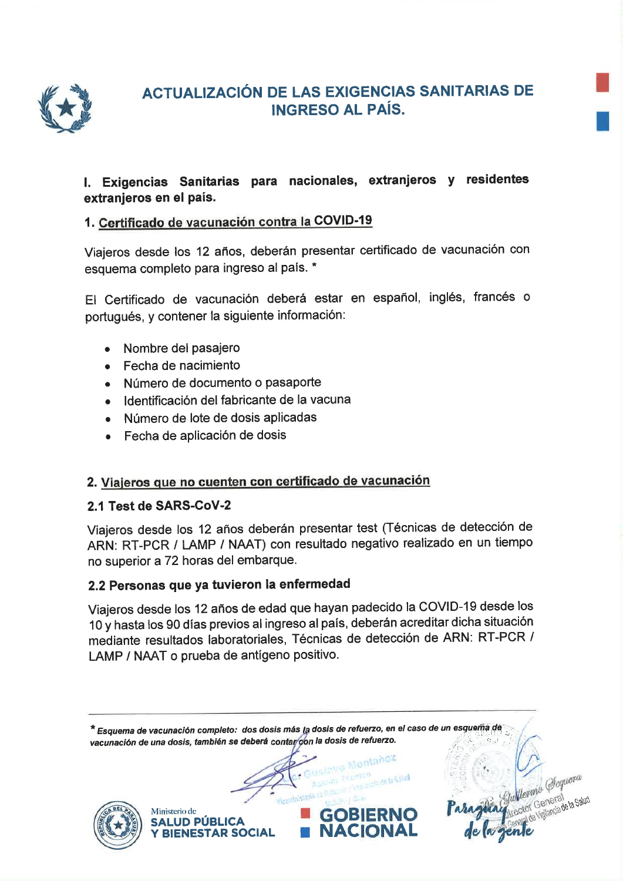

# **ACTUALIZACIÓN DE LAS EXIGENCIAS SANITARIAS DE INGRESO AL PAÍS.**

# I. Exigencias Sanitarias para nacionales, extranjeros y residentes extranjeros en el país.

# 1. Certificado de vacunación contra la COVID-19

Viajeros desde los 12 años, deberán presentar certificado de vacunación con esquema completo para ingreso al país. \*

El Certificado de vacunación deberá estar en español, inglés, francés o portugués, y contener la siguiente información:

- Nombre del pasajero
- Fecha de nacimiento
- · Número de documento o pasaporte
- · Identificación del fabricante de la vacuna
- · Número de lote de dosis aplicadas
- Fecha de aplicación de dosis

## 2. Viajeros que no cuenten con certificado de vacunación

## 2.1 Test de SARS-CoV-2

Viajeros desde los 12 años deberán presentar test (Técnicas de detección de ARN: RT-PCR / LAMP / NAAT) con resultado negativo realizado en un tiempo no superior a 72 horas del embarque.

## 2.2 Personas que ya tuvieron la enfermedad

Viajeros desde los 12 años de edad que hayan padecido la COVID-19 desde los 10 y hasta los 90 días previos al ingreso al país, deberán acreditar dicha situación mediante resultados laboratoriales, Técnicas de detección de ARN: RT-PCR / LAMP / NAAT o prueba de antígeno positivo.

\* Esquema de vacunación completo: dos dosis más la dosis de refuerzo, en el caso de un esquema de vacunación de una dosis, también se deberá contar con la dosis de refuerzo. ave Mentañoz Ministerio de **GOBIERNO SALUD PÚBLICA NACIONAL BIENESTAR SOCIAL**